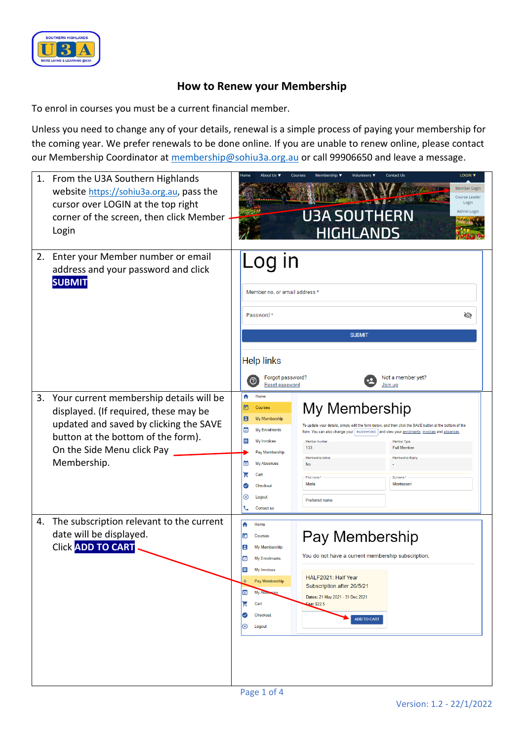

## **How to Renew your Membership**

To enrol in courses you must be a current financial member.

Unless you need to change any of your details, renewal is a simple process of paying your membership for the coming year. We prefer renewals to be done online. If you are unable to renew online, please contact our Membership Coordinator at [membership@sohiu3a.org.au](mailto:membership@sohiu3a.org.au) or call 99906650 and leave a message.

|    | 1. From the U3A Southern Highlands<br>website https://sohiu3a.org.au, pass the<br>cursor over LOGIN at the top right<br>corner of the screen, then click Member<br>Login                                         | <b>Contact Us</b><br>LOGIN V<br>$\n  Home\n$<br>Membership ▼<br>Volunteers ▼<br>Courses<br>Member Login<br>Course Leader<br>Login<br><b>U3A SOUTHERN</b><br>Admin Login<br><b>HIGHLANDS</b>                                                                                                                                                                                                                                                                                                                                                                                                                       |  |
|----|------------------------------------------------------------------------------------------------------------------------------------------------------------------------------------------------------------------|-------------------------------------------------------------------------------------------------------------------------------------------------------------------------------------------------------------------------------------------------------------------------------------------------------------------------------------------------------------------------------------------------------------------------------------------------------------------------------------------------------------------------------------------------------------------------------------------------------------------|--|
| 2. | Enter your Member number or email<br>address and your password and click<br><b>SUBMIT</b>                                                                                                                        | Log in<br>Member no. or email address *<br>Password *<br>Ø<br><b>SUBMIT</b><br><b>Help links</b><br>Forgot password?<br>Not a member yet?<br>℗<br>Reset password<br>Join up                                                                                                                                                                                                                                                                                                                                                                                                                                       |  |
|    | 3. Your current membership details will be<br>displayed. (If required, these may be<br>updated and saved by clicking the SAVE<br>button at the bottom of the form).<br>On the Side Menu click Pay<br>Membership. | ₳<br>Home<br>My Membership<br>o<br>Courses<br>В<br>My Membership<br>To update vour details, simply edit the form below, and then click the SAVE button at the bottom of the<br>ø<br>My Enrolments<br>form. You can also change your   PASSWORD   and view your enrolments, invoices and absences<br>Е<br>My Invoices<br>Member Numbe<br>Member Type<br>133<br><b>Full Member</b><br>Pay Membership<br>Membership Active<br>Membership Expiry<br>因<br><b>My Absences</b><br>No<br>Η<br>Cart<br>First name<br>Sumame<br>Maria<br>Montessori<br>$\bullet$<br>Checkout<br>⊗<br>Logout<br>Preferred name<br>Contact us |  |
| 4. | The subscription relevant to the current<br>date will be displayed.<br><b>Click ADD TO CART</b>                                                                                                                  | A<br>Home<br>Pay Membership<br>o<br>Courses<br>Е<br>My Membership<br>You do not have a current membership subscription.<br>☑<br>My Enrolments<br>Ë<br>My Invoices<br>HALF2021: Half Year<br>Pay Membership<br>Subscription after 20/5/21<br>因<br>My Abse<br>Dates: 21 May 2021 - 31 Dec 2021<br>H<br>Cart<br>ee: \$22.5<br>Checkout<br>☑<br><b>ADD TO CART</b><br>⊗<br>Logout                                                                                                                                                                                                                                     |  |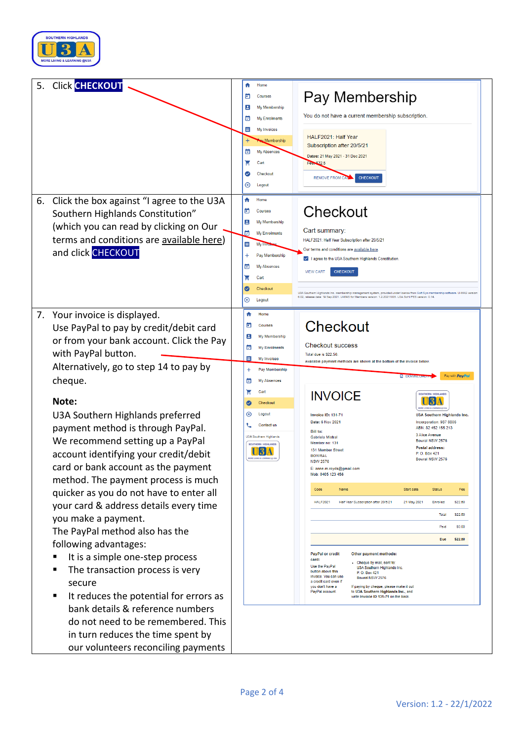

| 5.<br><b>Click CHECKOUT</b>                                                                                                                                                                                                                                                                                                                                                                                                                                                                                                                                                                                                                                                                                                                                                                                                                                                                              | A<br>Home<br>Pay Membership<br>Θ<br>Courses<br>Ξ<br>My Membership<br>You do not have a current membership subscription.<br>☑<br>My Enrolments<br>Ë<br>My Invoices<br>HALF2021: Half Year<br>w Membership<br>Subscription after 20/5/21<br>◙<br><b>My Absences</b><br>Dates: 21 May 2021 - 31 Dec 2021<br>π<br>Cart<br>Fee. \$22.5<br>Checkout<br><b>CHECKOUT</b><br><b>REMOVE FROM CAP</b><br>⊗<br>Logout                                                                                                                                                                                                                                                                                                                                                                                                                                                                                                                                                                                                                                                                                                                                                                                                                                                                                                                                                                                                                                                                                                                                                                                 |
|----------------------------------------------------------------------------------------------------------------------------------------------------------------------------------------------------------------------------------------------------------------------------------------------------------------------------------------------------------------------------------------------------------------------------------------------------------------------------------------------------------------------------------------------------------------------------------------------------------------------------------------------------------------------------------------------------------------------------------------------------------------------------------------------------------------------------------------------------------------------------------------------------------|-------------------------------------------------------------------------------------------------------------------------------------------------------------------------------------------------------------------------------------------------------------------------------------------------------------------------------------------------------------------------------------------------------------------------------------------------------------------------------------------------------------------------------------------------------------------------------------------------------------------------------------------------------------------------------------------------------------------------------------------------------------------------------------------------------------------------------------------------------------------------------------------------------------------------------------------------------------------------------------------------------------------------------------------------------------------------------------------------------------------------------------------------------------------------------------------------------------------------------------------------------------------------------------------------------------------------------------------------------------------------------------------------------------------------------------------------------------------------------------------------------------------------------------------------------------------------------------------|
| Click the box against "I agree to the U3A<br>6.<br>Southern Highlands Constitution"<br>(which you can read by clicking on Our<br>terms and conditions are available here)<br>and click CHECKOUT                                                                                                                                                                                                                                                                                                                                                                                                                                                                                                                                                                                                                                                                                                          | A<br>Home<br>Checkout<br>ō<br>Courses<br>Ε<br>My Membership<br>Cart summary:<br>ø<br>My Enrolments<br>HALF2021: Half Year Subscription after 20/5/21<br>Ë<br>My Invo<br>Our terms and conditions are available here.<br>$\pm$<br>Pay Membership<br>V I agree to the U3A Southern Highlands Constitution<br>図<br>My Absences<br><b>VIEW CART</b><br><b>CHECKOUT</b><br>τ<br>Cart<br>Ø<br>Checkout<br>U3A Southern Highlands Inc. membership management system, provided under license from Soft Sys membership software. U-MAS version<br>6.02, release date: 19 Sep 2021, U-MAS for Members version: 1,2,20211005, U3A SoHi PES version: 0.14.<br>⊗<br>Logout                                                                                                                                                                                                                                                                                                                                                                                                                                                                                                                                                                                                                                                                                                                                                                                                                                                                                                                             |
| 7. Your invoice is displayed.<br>Use PayPal to pay by credit/debit card<br>or from your bank account. Click the Pay<br>with PayPal button.<br>Alternatively, go to step 14 to pay by<br>cheque.<br>Note:<br>U3A Southern Highlands preferred<br>payment method is through PayPal.<br>We recommend setting up a PayPal<br>account identifying your credit/debit<br>card or bank account as the payment<br>method. The payment process is much<br>quicker as you do not have to enter all<br>your card & address details every time<br>you make a payment.<br>The PayPal method also has the<br>following advantages:<br>It is a simple one-step process<br>The transaction process is very<br>secure<br>It reduces the potential for errors as<br>п<br>bank details & reference numbers<br>do not need to be remembered. This<br>in turn reduces the time spent by<br>our volunteers reconciling payments | ₩<br>Home<br>Checkout<br>ō<br>Courses<br>8<br>My Membership<br><b>Checkout success</b><br>▣<br><b>My Enrolments</b><br>Total due is \$22.50.<br>E<br>My Invoices<br>Available payment methods are shown at the bottom of the invoice below<br>Pay Membership<br>$\ddot{}$<br>Pay with PayPal<br><b>EL DOM</b><br>囡<br><b>My Absences</b><br>τ<br>Cart<br><b>INVOICE</b><br>OUTHERN HIGHLAND<br>Checkout<br>Ø<br>⊛<br>Logout<br><b>Invoice ID: 131-71</b><br>U3A Southern Highlands Inc.<br>Date: 6 Nov 2021<br>Incorporation: 987 8806<br><b>Contact us</b><br>ABN: 82 452 155 213<br><b>Bill to:</b><br>3 Alice Avenue<br>U3A Southern Highlands<br>Gabriela Mistral<br>Bowral NSW 2576<br>Member no: 131<br>SOUTHERN HIGHLANDS<br>Postal address:<br>131 Member Street<br>13 A<br>P.O. Box 421<br><b>BOWRAL</b><br><b>MORE LIVING &amp; LEARNING @ UI</b><br>Bowral NSW 2576<br><b>NSW 2576</b><br>E: anne.m.royds@gmail.com<br>Mob: 0405 123 456<br>Code<br>Name<br>Start date<br><b>Status</b><br>Fee<br><b>HALF2021</b><br>Half Year Subscription after 20/5/21<br>21 May 2021<br>Enrolled<br>\$22.50<br>\$22.50<br>Total<br>Paid<br>\$0.00<br>Due<br>\$22.50<br><b>PayPal or credit</b><br>Other payment methods:<br>card:<br>- Cheque by mail, sent to<br>Use the PayPal<br>U3A Southern Highlands Inc.<br>button above this<br>P. O. Box 421<br>invoice. You can use<br>Bowral NSW 2576<br>a credit card even if<br>vou don't have a<br>If paying by cheque, please make it out<br>PayPal account.<br>to U3A Southern Highlands Inc., and<br>write Invoice ID 131-71 on the back. |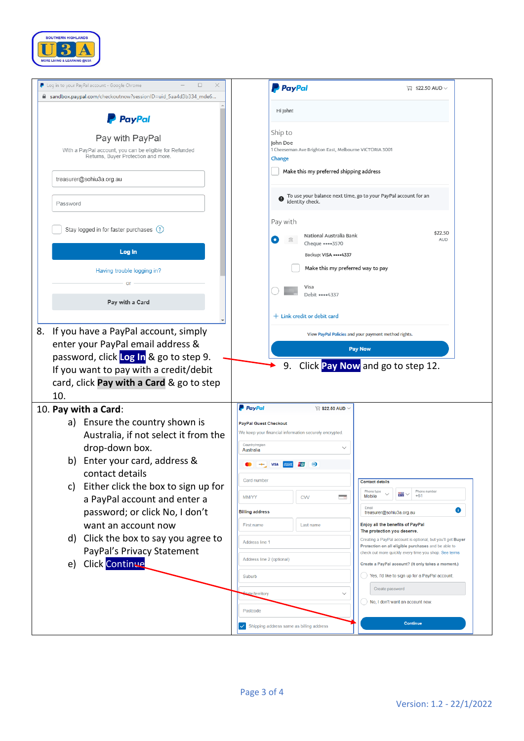

| Log in to your PayPal account - Google Chrome<br>□                                             | ×<br><b>P</b> PayPal                                                                                        | $\Box$ \$22.50 AUD $\vee$                                                                                          |
|------------------------------------------------------------------------------------------------|-------------------------------------------------------------------------------------------------------------|--------------------------------------------------------------------------------------------------------------------|
| a sandbox.paypal.com/checkoutnow?sessionID=uid_5aa4d3b334_mde6                                 |                                                                                                             |                                                                                                                    |
| <b>PayPal</b>                                                                                  | Hi John!                                                                                                    |                                                                                                                    |
| Pay with PayPal                                                                                | Ship to<br>John Doe                                                                                         |                                                                                                                    |
| With a PayPal account, you can be eligible for Refunded<br>Returns, Buyer Protection and more. | 1 Cheeseman Ave Brighton East, Melbourne VICTORIA 3001<br>Change<br>Make this my preferred shipping address |                                                                                                                    |
| treasurer@sohiu3a.org.au                                                                       |                                                                                                             |                                                                                                                    |
| Password                                                                                       | identity check.                                                                                             | To use your balance next time, go to your PayPal account for an                                                    |
| Stay logged in for faster purchases (?)                                                        | Pay with<br>National Australia Bank                                                                         | \$22.50                                                                                                            |
| Log In                                                                                         | Cheque •••• 3570<br>Backup: VISA **** 4337                                                                  | <b>AUD</b>                                                                                                         |
| Having trouble logging in?                                                                     | Make this my preferred way to pay                                                                           |                                                                                                                    |
|                                                                                                | Visa<br>Debit ••••4337                                                                                      |                                                                                                                    |
| Pay with a Card                                                                                | $+$ Link credit or debit card                                                                               |                                                                                                                    |
| If you have a PayPal account, simply<br>8.                                                     |                                                                                                             | View PayPal Policies and your payment method rights.                                                               |
|                                                                                                |                                                                                                             | <b>Pay Now</b>                                                                                                     |
| enter your PayPal email address &                                                              |                                                                                                             |                                                                                                                    |
| password, click Log In & go to step 9.                                                         |                                                                                                             |                                                                                                                    |
| If you want to pay with a credit/debit                                                         | 9.                                                                                                          | Click Pay Now and go to step 12.                                                                                   |
| card, click Pay with a Card & go to step                                                       |                                                                                                             |                                                                                                                    |
| 10.                                                                                            |                                                                                                             |                                                                                                                    |
| 10. Pay with a Card:                                                                           | <b>P</b> PayPal<br>$\overline{\mathbb{R}}$ \$22.50 AUD $\vee$                                               |                                                                                                                    |
| a) Ensure the country shown is                                                                 | <b>PayPal Guest Checkout</b>                                                                                |                                                                                                                    |
| Australia, if not select it from the                                                           | We keep your financial information securely encrypted.                                                      |                                                                                                                    |
| drop-down box.                                                                                 | Country/region<br>Australia                                                                                 |                                                                                                                    |
| b) Enter your card, address &                                                                  | $\boldsymbol{\omega}$                                                                                       |                                                                                                                    |
| contact details                                                                                | Card number                                                                                                 |                                                                                                                    |
| Either click the box to sign up for<br>c)                                                      |                                                                                                             | <b>Contact details</b><br>Phone type<br>Phone number<br>₩                                                          |
| a PayPal account and enter a                                                                   | - o<br><b>MM/YY</b><br><b>CVV</b>                                                                           | $+61$<br>Mobile<br>Email                                                                                           |
| password; or click No, I don't                                                                 | <b>Billing address</b>                                                                                      | treasurer@sohiu3a.org.au                                                                                           |
| want an account now                                                                            | First name<br>Last name                                                                                     | Enjoy all the benefits of PayPal<br>The protection you deserve.                                                    |
| d) Click the box to say you agree to                                                           | Address line 1                                                                                              | Creating a PayPal account is optional, but you'll get Buyer<br>Protection on all eligible purchases and be able to |
| PayPal's Privacy Statement                                                                     | Address line 2 (optional)                                                                                   | check out more quickly every time you shop. See terms<br>Create a PayPal account? (It only takes a moment.)        |
| e) Click Continue                                                                              | Suburb                                                                                                      | Yes, I'd like to sign up for a PayPal account.                                                                     |
|                                                                                                | <b>tate/territory</b>                                                                                       | Create password                                                                                                    |
|                                                                                                | Postcode                                                                                                    | No, I don't want an account now.                                                                                   |